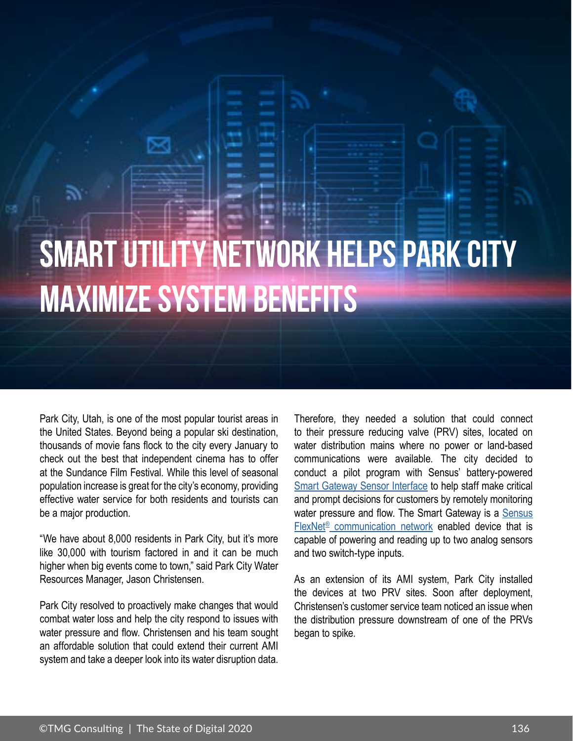## SMART UTILITY NETWORK HELPS PARK CITY MAXIMIZE SYSTEM BENEFITS

Park City, Utah, is one of the most popular tourist areas in the United States. Beyond being a popular ski destination, thousands of movie fans flock to the city every January to check out the best that independent cinema has to offer at the Sundance Film Festival. While this level of seasonal population increase is great for the city's economy, providing effective water service for both residents and tourists can be a major production.

"We have about 8,000 residents in Park City, but it's more like 30,000 with tourism factored in and it can be much higher when big events come to town," said Park City Water Resources Manager, Jason Christensen.

Park City resolved to proactively make changes that would combat water loss and help the city respond to issues with water pressure and flow. Christensen and his team sought an affordable solution that could extend their current AMI system and take a deeper look into its water disruption data.

Therefore, they needed a solution that could connect to their pressure reducing valve (PRV) sites, located on water distribution mains where no power or land-based communications were available. The city decided to conduct a pilot program with Sensus' battery-powered [Smart Gateway Sensor Interface](https://sensus.com/products/sensus-smart-gateway/) to help staff make critical and prompt decisions for customers by remotely monitoring water pressure and flow. The Smart Gateway is a Sensus FlexNet<sup>®</sup> [communication network e](https://sensus.com/communication-networks/sensus-technologies/flexnet-north-america/)nabled device that is capable of powering and reading up to two analog sensors and two switch-type inputs.

As an extension of its AMI system, Park City installed the devices at two PRV sites. Soon after deployment, Christensen's customer service team noticed an issue when the distribution pressure downstream of one of the PRVs began to spike.